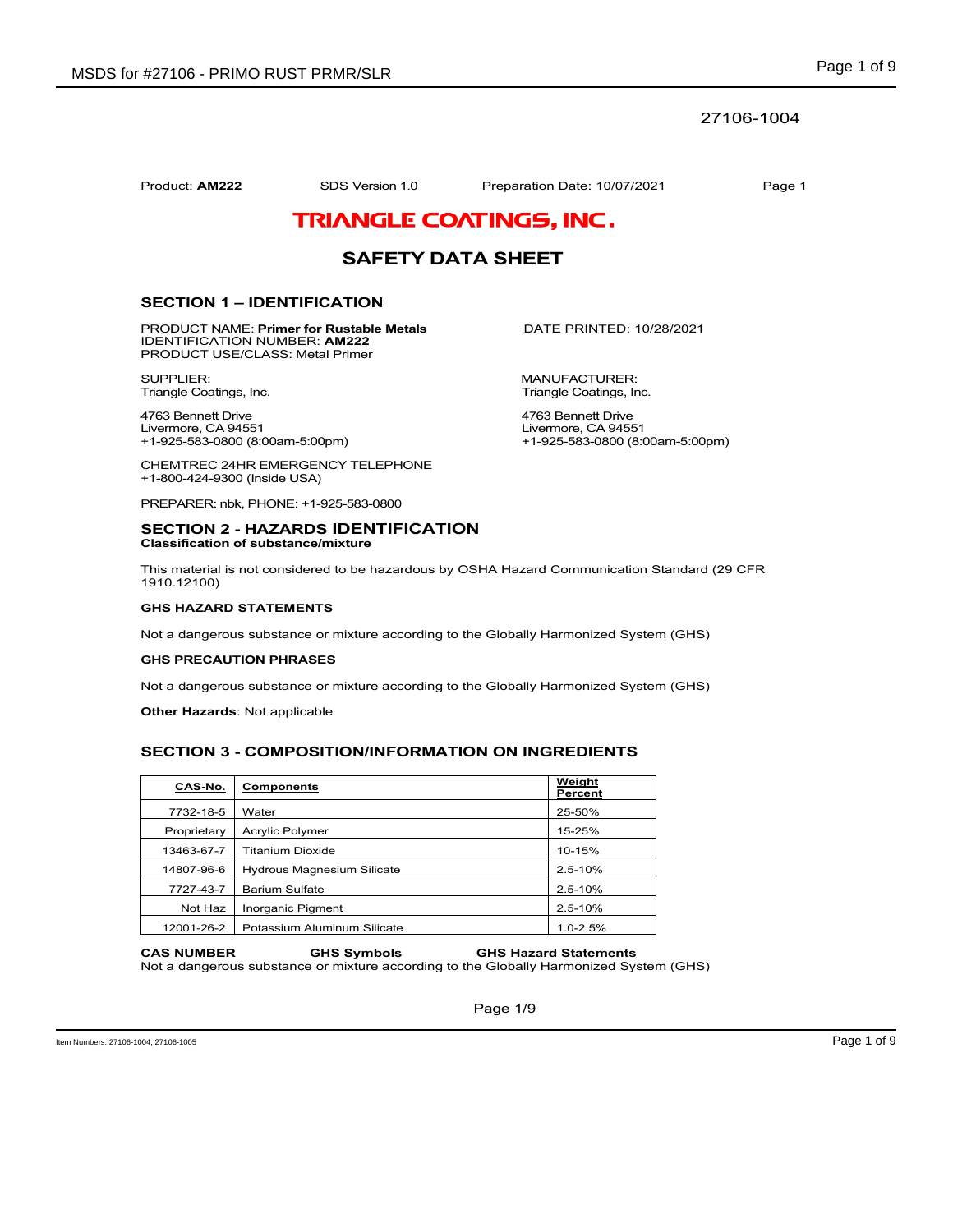## 27106-1004

Product: **AM222** SDS Version 1.0 Preparation Date: 10/07/2021 Page 1

# TRIANGLE COATINGS, INC.

# **SAFETY DATA SHEET**

## **SECTION 1 – IDENTIFICATION**

PRODUCT NAME: **Primer for Rustable Metals** DATE PRINTED: 10/28/2021 IDENTIFICATION NUMBER: **AM222** PRODUCT USE/CLASS: Metal Primer

SUPPLIER: MANUFACTURER:<br>Triangle Coatings, Inc. Triangle Coatings, Inc. Triangle Coatings, Inc.

4763 Bennett Drive 1990 and 1990 and 1990 and 1763 Bennett Drive 1763 Bennett Drive 1890 and 1763 Bennett Drive Livermore, CA 94551 Livermore, CA 94551

CHEMTREC 24HR EMERGENCY TELEPHONE +1-800-424-9300 (Inside USA)

PREPARER: nbk, PHONE: +1-925-583-0800

#### **SECTION 2 - HAZARDS IDENTIFICATION Classification of substance/mixture**

This material is not considered to be hazardous by OSHA Hazard Communication Standard (29 CFR 1910.12100)

### **GHS HAZARD STATEMENTS**

Not a dangerous substance or mixture according to the Globally Harmonized System (GHS)

#### **GHS PRECAUTION PHRASES**

Not a dangerous substance or mixture according to the Globally Harmonized System (GHS)

**Other Hazards**: Not applicable

## **SECTION 3 - COMPOSITION/INFORMATION ON INGREDIENTS**

| CAS-No.     | <b>Components</b>                 | Weight<br>Percent |
|-------------|-----------------------------------|-------------------|
| 7732-18-5   | Water                             | 25-50%            |
| Proprietary | Acrylic Polymer                   | 15-25%            |
| 13463-67-7  | <b>Titanium Dioxide</b>           | 10-15%            |
| 14807-96-6  | <b>Hydrous Magnesium Silicate</b> | $2.5 - 10%$       |
| 7727-43-7   | <b>Barium Sulfate</b>             | $2.5 - 10%$       |
| Not Haz     | Inorganic Pigment                 | $2.5 - 10%$       |
| 12001-26-2  | Potassium Aluminum Silicate       | $1.0 - 2.5%$      |

#### **CAS NUMBER GHS Symbols GHS Hazard Statements**  Not a dangerous substance or mixture according to the Globally Harmonized System (GHS)

Page 1/9

Triangle Coatings, Inc.

+1-925-583-0800 (8:00am-5:00pm) +1-925-583-0800 (8:00am-5:00pm)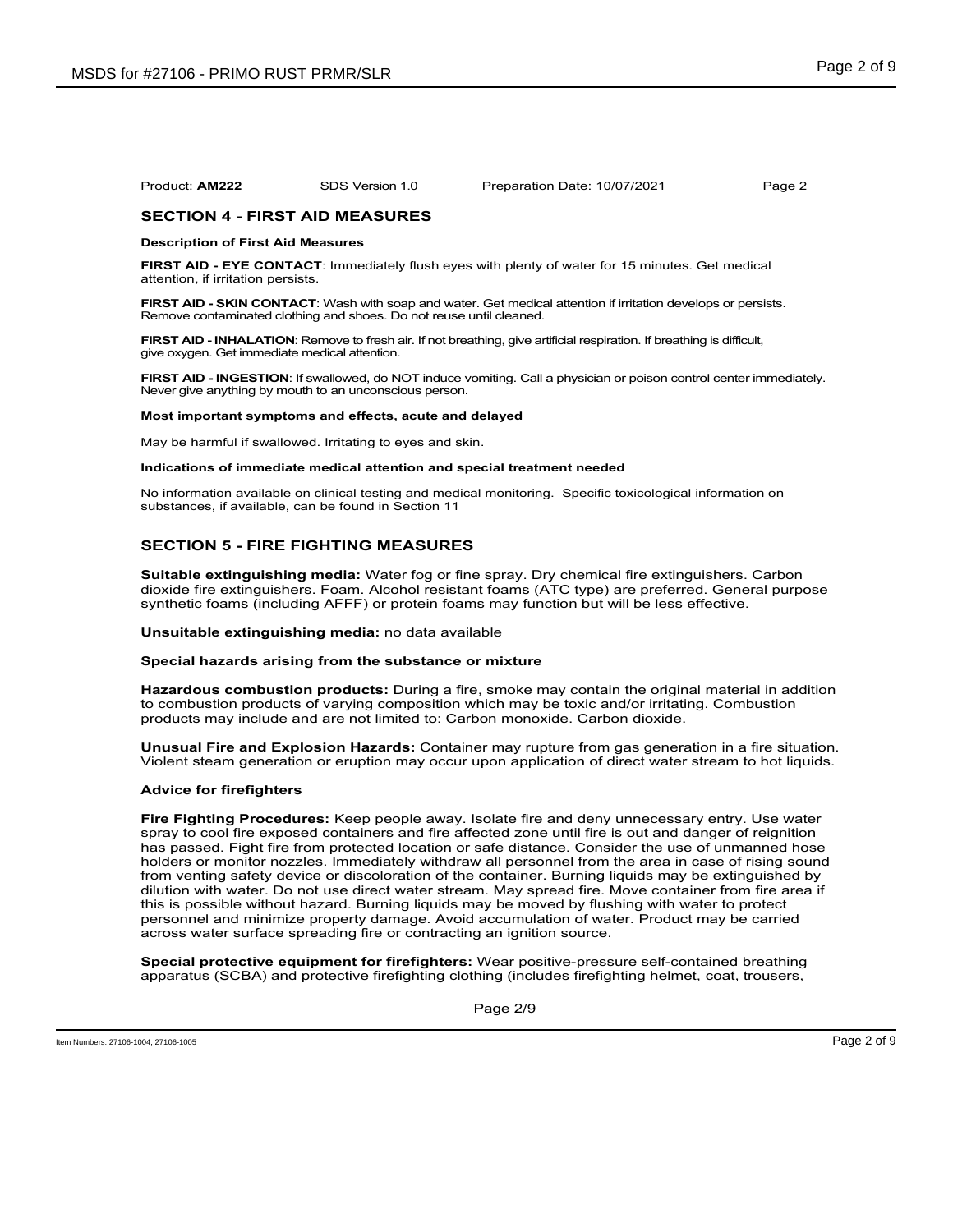## **SECTION 4 - FIRST AID MEASURES**

#### **Description of First Aid Measures**

**FIRST AID - EYE CONTACT**: Immediately flush eyes with plenty of water for 15 minutes. Get medical attention, if irritation persists.

**FIRST AID - SKIN CONTACT**: Wash with soap and water. Get medical attention if irritation develops or persists. Remove contaminated clothing and shoes. Do not reuse until cleaned.

**FIRST AID - INHALATION**: Remove to fresh air. If not breathing, give artificial respiration. If breathing is difficult, give oxygen. Get immediate medical attention.

**FIRST AID - INGESTION**: If swallowed, do NOT induce vomiting. Call a physician or poison control center immediately. Never give anything by mouth to an unconscious person.

#### **Most important symptoms and effects, acute and delayed**

May be harmful if swallowed. Irritating to eyes and skin.

#### **Indications of immediate medical attention and special treatment needed**

No information available on clinical testing and medical monitoring. Specific toxicological information on substances, if available, can be found in Section 11

## **SECTION 5 - FIRE FIGHTING MEASURES**

**Suitable extinguishing media:** Water fog or fine spray. Dry chemical fire extinguishers. Carbon dioxide fire extinguishers. Foam. Alcohol resistant foams (ATC type) are preferred. General purpose synthetic foams (including AFFF) or protein foams may function but will be less effective.

#### **Unsuitable extinguishing media:** no data available

## **Special hazards arising from the substance or mixture**

**Hazardous combustion products:** During a fire, smoke may contain the original material in addition to combustion products of varying composition which may be toxic and/or irritating. Combustion products may include and are not limited to: Carbon monoxide. Carbon dioxide.

**Unusual Fire and Explosion Hazards:** Container may rupture from gas generation in a fire situation. Violent steam generation or eruption may occur upon application of direct water stream to hot liquids.

#### **Advice for firefighters**

**Fire Fighting Procedures:** Keep people away. Isolate fire and deny unnecessary entry. Use water spray to cool fire exposed containers and fire affected zone until fire is out and danger of reignition has passed. Fight fire from protected location or safe distance. Consider the use of unmanned hose holders or monitor nozzles. Immediately withdraw all personnel from the area in case of rising sound from venting safety device or discoloration of the container. Burning liquids may be extinguished by dilution with water. Do not use direct water stream. May spread fire. Move container from fire area if this is possible without hazard. Burning liquids may be moved by flushing with water to protect personnel and minimize property damage. Avoid accumulation of water. Product may be carried across water surface spreading fire or contracting an ignition source.

**Special protective equipment for firefighters:** Wear positive-pressure self-contained breathing apparatus (SCBA) and protective firefighting clothing (includes firefighting helmet, coat, trousers,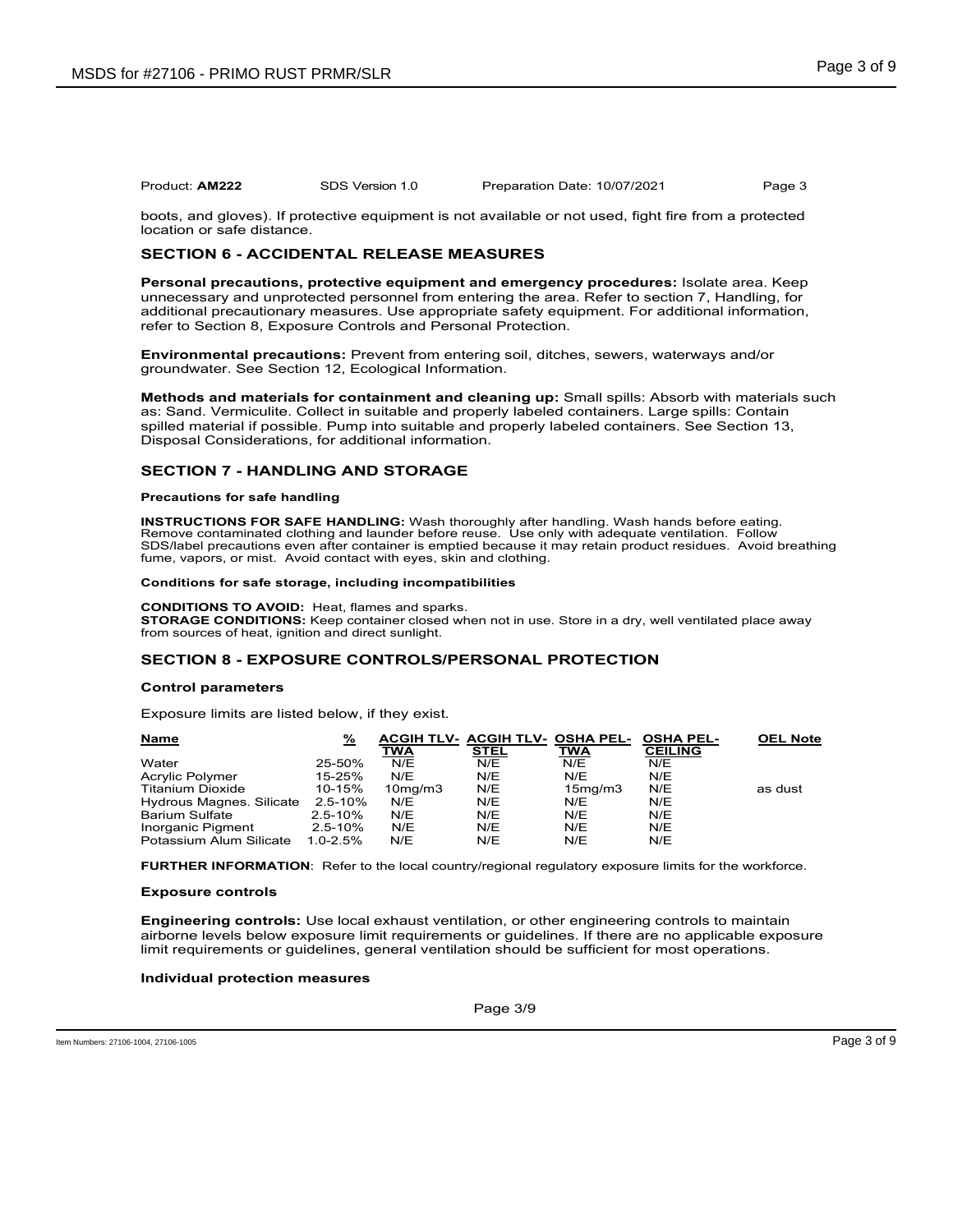boots, and gloves). If protective equipment is not available or not used, fight fire from a protected location or safe distance.

## **SECTION 6 - ACCIDENTAL RELEASE MEASURES**

**Personal precautions, protective equipment and emergency procedures:** Isolate area. Keep unnecessary and unprotected personnel from entering the area. Refer to section 7, Handling, for additional precautionary measures. Use appropriate safety equipment. For additional information, refer to Section 8, Exposure Controls and Personal Protection.

**Environmental precautions:** Prevent from entering soil, ditches, sewers, waterways and/or groundwater. See Section 12, Ecological Information.

**Methods and materials for containment and cleaning up:** Small spills: Absorb with materials such as: Sand. Vermiculite. Collect in suitable and properly labeled containers. Large spills: Contain spilled material if possible. Pump into suitable and properly labeled containers. See Section 13, Disposal Considerations, for additional information.

## **SECTION 7 - HANDLING AND STORAGE**

#### **Precautions for safe handling**

**INSTRUCTIONS FOR SAFE HANDLING:** Wash thoroughly after handling. Wash hands before eating. Remove contaminated clothing and launder before reuse. Use only with adequate ventilation. Follow SDS/label precautions even after container is emptied because it may retain product residues. Avoid breathing fume, vapors, or mist. Avoid contact with eyes, skin and clothing.

#### **Conditions for safe storage, including incompatibilities**

**CONDITIONS TO AVOID:** Heat, flames and sparks. **STORAGE CONDITIONS:** Keep container closed when not in use. Store in a dry, well ventilated place away from sources of heat, ignition and direct sunlight.

## **SECTION 8 - EXPOSURE CONTROLS/PERSONAL PROTECTION**

#### **Control parameters**

Exposure limits are listed below, if they exist.

| <b>Name</b>              | %            | TWA                  | ACGIH TLV- ACGIH TLV- OSHA PEL-<br><b>STEL</b> | TWA                  | <b>OSHA PEL-</b><br><b>CEILING</b> | <b>OEL Note</b> |
|--------------------------|--------------|----------------------|------------------------------------------------|----------------------|------------------------------------|-----------------|
| Water                    | 25-50%       | N/E                  | N/E                                            | N/E                  | N/E                                |                 |
| Acrylic Polymer          | 15-25%       | N/E                  | N/E                                            | N/E                  | N/E                                |                 |
| <b>Titanium Dioxide</b>  | 10-15%       | 10 <sub>mq</sub> /m3 | N/E                                            | 15 <sub>mq</sub> /m3 | N/E                                | as dust         |
| Hydrous Magnes, Silicate | 2.5-10%      | N/E                  | N/E                                            | N/E                  | N/E                                |                 |
| <b>Barium Sulfate</b>    | $2.5 - 10%$  | N/E                  | N/E                                            | N/E                  | N/E                                |                 |
| Inorganic Pigment        | $2.5 - 10%$  | N/E                  | N/E                                            | N/E                  | N/E                                |                 |
| Potassium Alum Silicate  | $1.0 - 2.5%$ | N/E                  | N/E                                            | N/E                  | N/E                                |                 |

**FURTHER INFORMATION**: Refer to the local country/regional regulatory exposure limits for the workforce.

#### **Exposure controls**

**Engineering controls:** Use local exhaust ventilation, or other engineering controls to maintain airborne levels below exposure limit requirements or guidelines. If there are no applicable exposure limit requirements or guidelines, general ventilation should be sufficient for most operations.

#### **Individual protection measures**

Page 3/9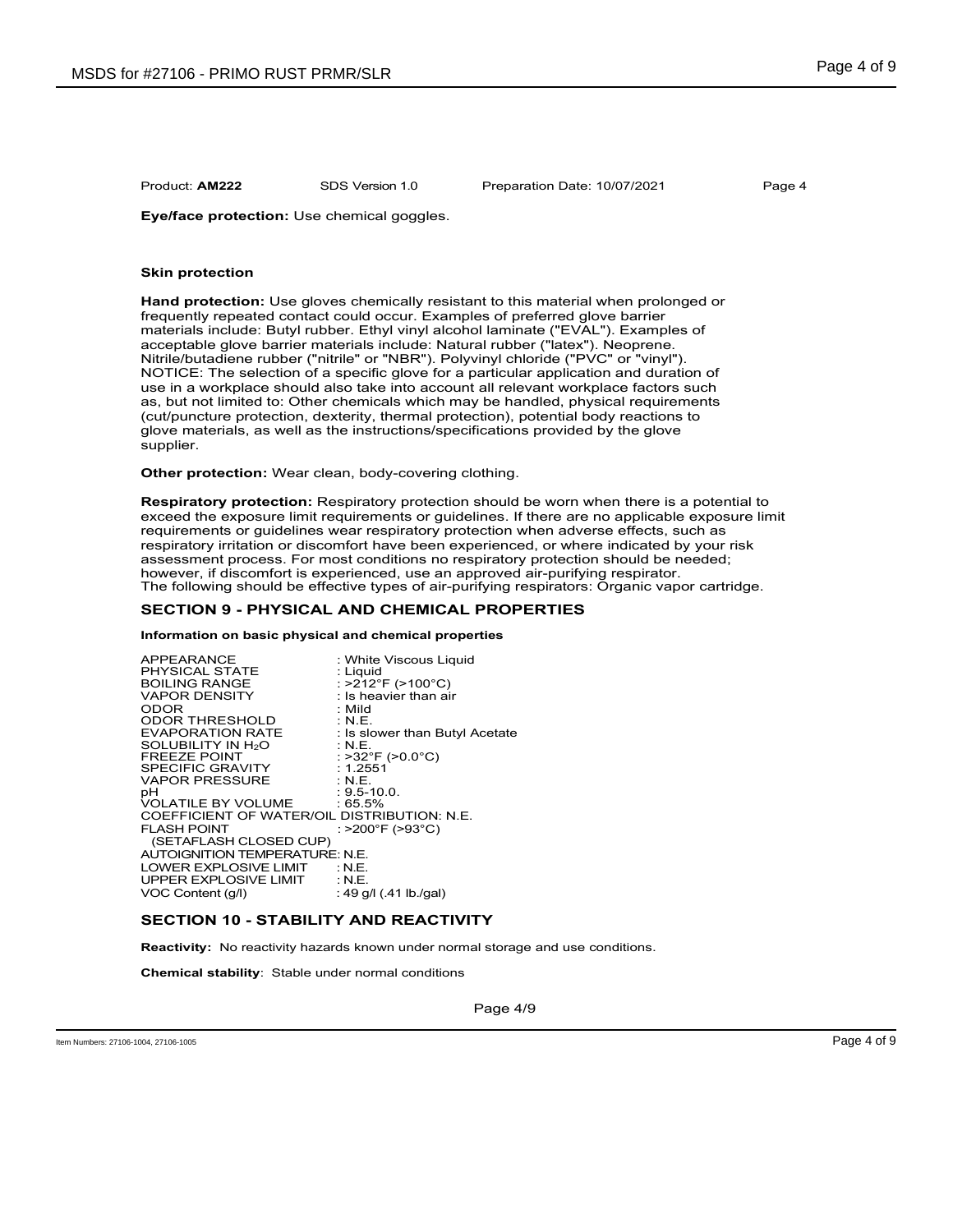**Eye/face protection:** Use chemical goggles.

#### **Skin protection**

**Hand protection:** Use gloves chemically resistant to this material when prolonged or frequently repeated contact could occur. Examples of preferred glove barrier materials include: Butyl rubber. Ethyl vinyl alcohol laminate ("EVAL"). Examples of acceptable glove barrier materials include: Natural rubber ("latex"). Neoprene. Nitrile/butadiene rubber ("nitrile" or "NBR"). Polyvinyl chloride ("PVC" or "vinyl"). NOTICE: The selection of a specific glove for a particular application and duration of use in a workplace should also take into account all relevant workplace factors such as, but not limited to: Other chemicals which may be handled, physical requirements (cut/puncture protection, dexterity, thermal protection), potential body reactions to glove materials, as well as the instructions/specifications provided by the glove supplier.

**Other protection:** Wear clean, body-covering clothing.

**Respiratory protection:** Respiratory protection should be worn when there is a potential to exceed the exposure limit requirements or guidelines. If there are no applicable exposure limit requirements or guidelines wear respiratory protection when adverse effects, such as respiratory irritation or discomfort have been experienced, or where indicated by your risk assessment process. For most conditions no respiratory protection should be needed; however, if discomfort is experienced, use an approved air-purifying respirator. The following should be effective types of air-purifying respirators: Organic vapor cartridge.

## **SECTION 9 - PHYSICAL AND CHEMICAL PROPERTIES**

#### **Information on basic physical and chemical properties**

| <b>APPEARANCE</b>                           | : White Viscous Liquid         |
|---------------------------------------------|--------------------------------|
| <b>PHYSICAL STATE</b>                       | : Liguid                       |
| <b>BOILING RANGE</b>                        | : >212°F (>100°C)              |
| <b>VAPOR DENSITY</b>                        | $:$ Is heavier than air        |
| <b>ODOR</b>                                 | : Mild                         |
| <b>ODOR THRESHOLD</b>                       | : N.E.                         |
| <b>EVAPORATION RATE</b>                     | : Is slower than Butyl Acetate |
| SOLUBILITY IN H <sub>2</sub> O              | $:$ N.E.                       |
| <b>FREEZE POINT</b>                         | : >32°F (>0.0°C)               |
| <b>SPECIFIC GRAVITY</b>                     | : 1.2551                       |
| <b>VAPOR PRESSURE</b>                       | $\cdot$ N.E.                   |
| рH                                          | $: 9.5 - 10.0.$                |
| VOLATILE BY VOLUME : 65.5%                  |                                |
| COEFFICIENT OF WATER/OIL DISTRIBUTION: N.E. |                                |
| <b>FLASH POINT</b>                          | : >200°F (>93°C)               |
| (SETAFLASH CLOSED CUP)                      |                                |
| AUTOIGNITION TEMPERATURE: N.E.              |                                |
| LOWER EXPLOSIVE LIMIT : N.E.                |                                |
| UPPER EXPLOSIVE LIMIT : N.E.                |                                |
| VOC Content (g/l)                           | : 49 g/l (.41 lb./gal)         |

## **SECTION 10 - STABILITY AND REACTIVITY**

**Reactivity:** No reactivity hazards known under normal storage and use conditions.

**Chemical stability**: Stable under normal conditions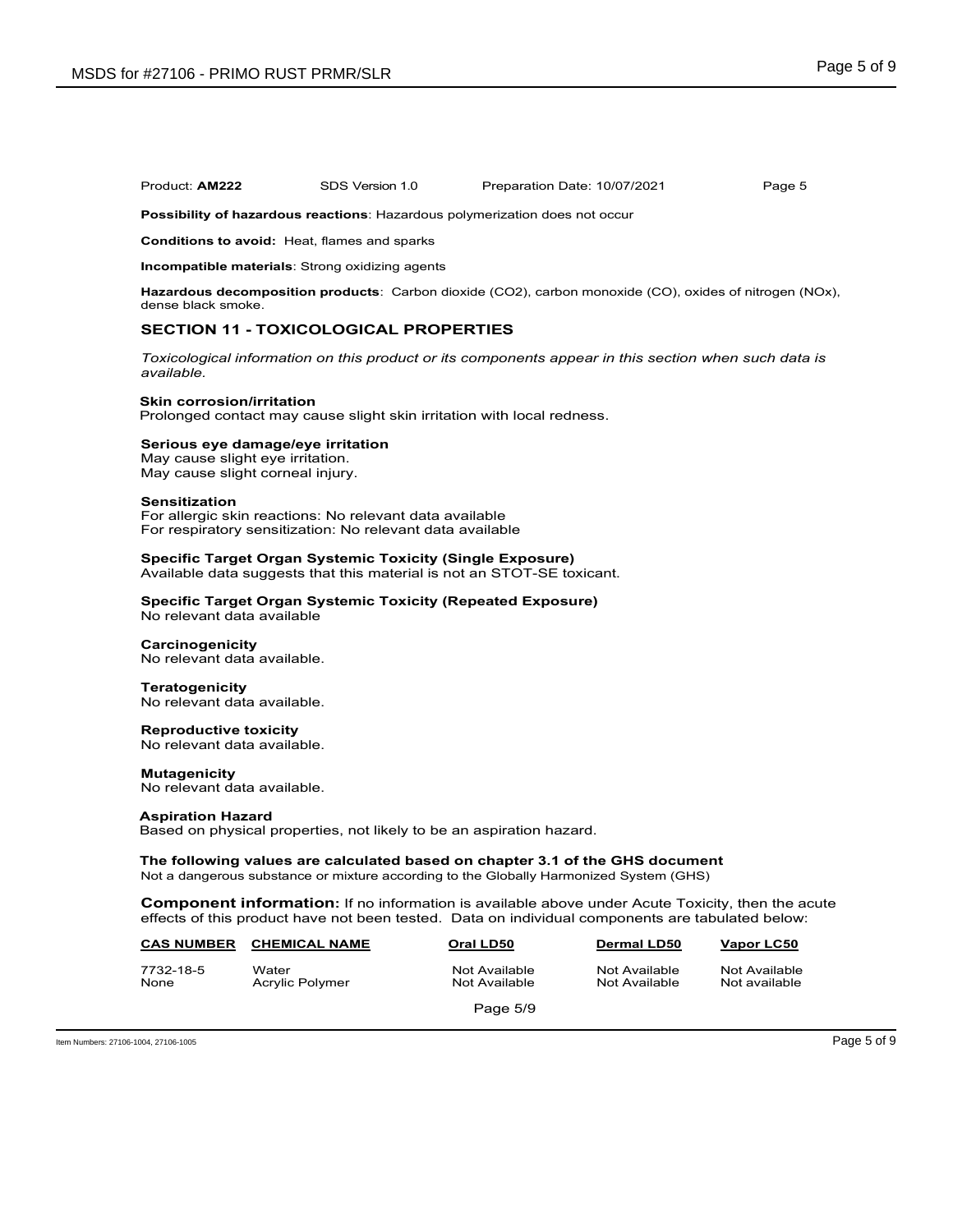**Possibility of hazardous reactions**: Hazardous polymerization does not occur

**Conditions to avoid:** Heat, flames and sparks

**Incompatible materials**: Strong oxidizing agents

**Hazardous decomposition products**: Carbon dioxide (CO2), carbon monoxide (CO), oxides of nitrogen (NOx), dense black smoke.

## **SECTION 11 - TOXICOLOGICAL PROPERTIES**

*Toxicological information on this product or its components appear in this section when such data is available.*

#### **Skin corrosion/irritation**

Prolonged contact may cause slight skin irritation with local redness.

### **Serious eye damage/eye irritation**

May cause slight eye irritation. May cause slight corneal injury.

#### **Sensitization**

For allergic skin reactions: No relevant data available For respiratory sensitization: No relevant data available

## **Specific Target Organ Systemic Toxicity (Single Exposure)**

Available data suggests that this material is not an STOT-SE toxicant.

#### **Specific Target Organ Systemic Toxicity (Repeated Exposure)** No relevant data available

## **Carcinogenicity**

No relevant data available.

#### **Teratogenicity**

No relevant data available.

## **Reproductive toxicity**

No relevant data available.

#### **Mutagenicity**

No relevant data available.

#### **Aspiration Hazard**

Based on physical properties, not likely to be an aspiration hazard.

## **The following values are calculated based on chapter 3.1 of the GHS document**

Not a dangerous substance or mixture according to the Globally Harmonized System (GHS)

**Component information:** If no information is available above under Acute Toxicity, then the acute effects of this product have not been tested. Data on individual components are tabulated below:

| <b>CAS NUMBER</b> | <b>CHEMICAL NAME</b>     | Oral LD50                      | <b>Dermal LD50</b>             | Vapor LC50                     |  |
|-------------------|--------------------------|--------------------------------|--------------------------------|--------------------------------|--|
| 7732-18-5<br>None | Water<br>Acrylic Polymer | Not Available<br>Not Available | Not Available<br>Not Available | Not Available<br>Not available |  |
|                   |                          | Page 5/9                       |                                |                                |  |

Item Numbers: 27106-1004, 27106-1005 Page 5 of 9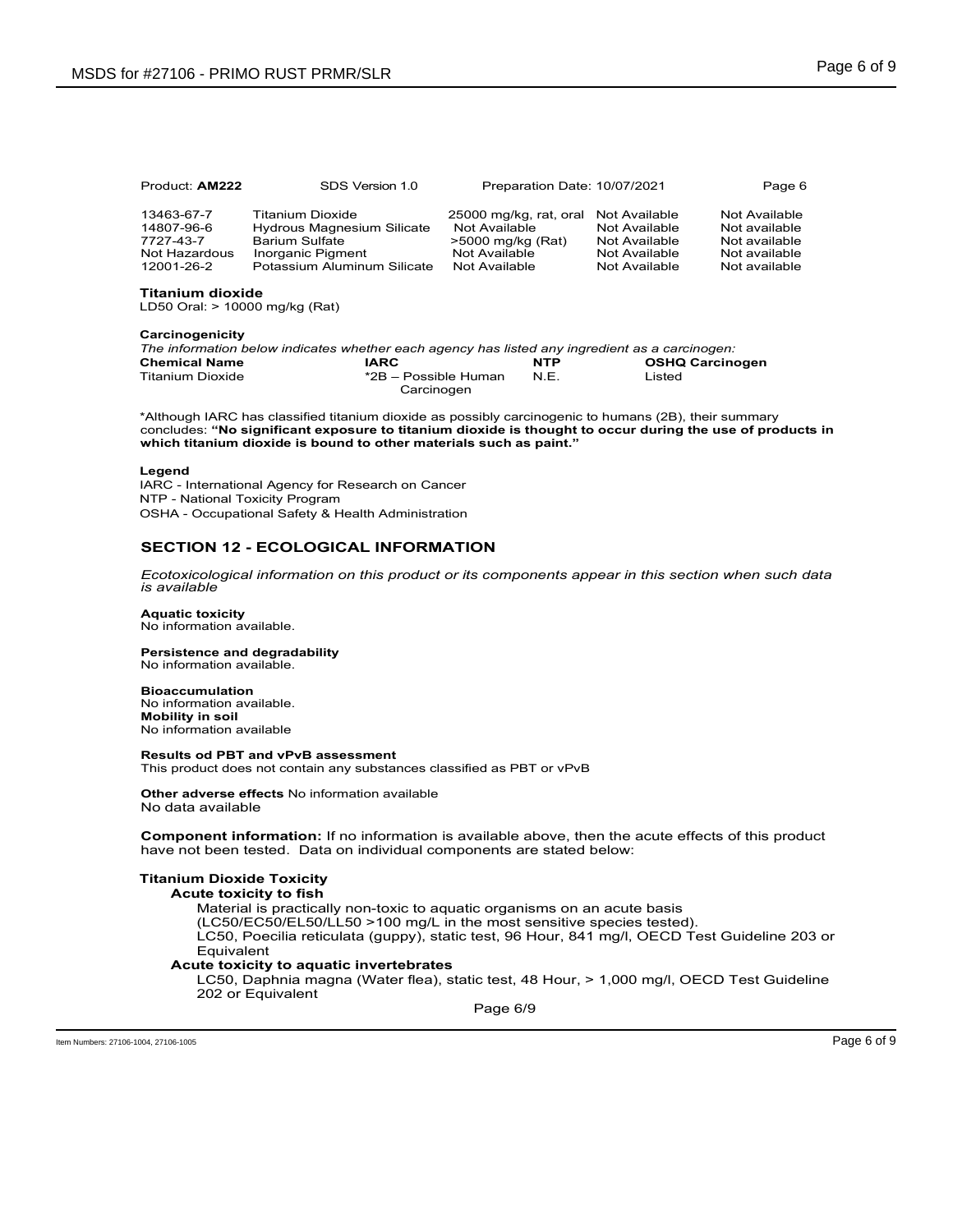| Product: AM222                                                       | SDS Version 1.0                                                                                                             | Preparation Date: 10/07/2021                                                                                 |                                                                  | Page 6                                                                            |
|----------------------------------------------------------------------|-----------------------------------------------------------------------------------------------------------------------------|--------------------------------------------------------------------------------------------------------------|------------------------------------------------------------------|-----------------------------------------------------------------------------------|
| 13463-67-7<br>14807-96-6<br>7727-43-7<br>Not Hazardous<br>12001-26-2 | Titanium Dioxide<br>Hydrous Magnesium Silicate<br><b>Barium Sulfate</b><br>Inorganic Pigment<br>Potassium Aluminum Silicate | 25000 mg/kg, rat, oral Not Available<br>Not Available<br>>5000 mg/kg (Rat)<br>Not Available<br>Not Available | Not Available<br>Not Available<br>Not Available<br>Not Available | Not Available<br>Not available<br>Not available<br>Not available<br>Not available |

**Titanium dioxide**  LD50 Oral: > 10000 mg/kg (Rat)

#### **Carcinogenicity**

|                      | The information below indicates whether each agency has listed any ingredient as a carcinogen: |            |                        |
|----------------------|------------------------------------------------------------------------------------------------|------------|------------------------|
| <b>Chemical Name</b> | IARC                                                                                           | <b>NTP</b> | <b>OSHQ Carcinogen</b> |
| Titanium Dioxide     | *2B – Possible Human                                                                           | NF         | Listed                 |
|                      | Carcinogen                                                                                     |            |                        |

\*Although IARC has classified titanium dioxide as possibly carcinogenic to humans (2B), their summary concludes: **"No significant exposure to titanium dioxide is thought to occur during the use of products in which titanium dioxide is bound to other materials such as paint."**

#### **Legend**

IARC - International Agency for Research on Cancer NTP - National Toxicity Program OSHA - Occupational Safety & Health Administration

## **SECTION 12 - ECOLOGICAL INFORMATION**

*Ecotoxicological information on this product or its components appear in this section when such data is available*

## **Aquatic toxicity**

No information available.

#### **Persistence and degradability** No information available.

**Bioaccumulation** No information available.

**Mobility in soil** No information available

#### **Results od PBT and vPvB assessment**

This product does not contain any substances classified as PBT or vPvB

#### **Other adverse effects** No information available No data available

**Component information:** If no information is available above, then the acute effects of this product have not been tested. Data on individual components are stated below:

## **Titanium Dioxide Toxicity**

#### **Acute toxicity to fish**

Material is practically non-toxic to aquatic organisms on an acute basis (LC50/EC50/EL50/LL50 >100 mg/L in the most sensitive species tested).

LC50, Poecilia reticulata (guppy), static test, 96 Hour, 841 mg/l, OECD Test Guideline 203 or Equivalent

## **Acute toxicity to aquatic invertebrates**

LC50, Daphnia magna (Water flea), static test, 48 Hour, > 1,000 mg/l, OECD Test Guideline 202 or Equivalent

Page 6/9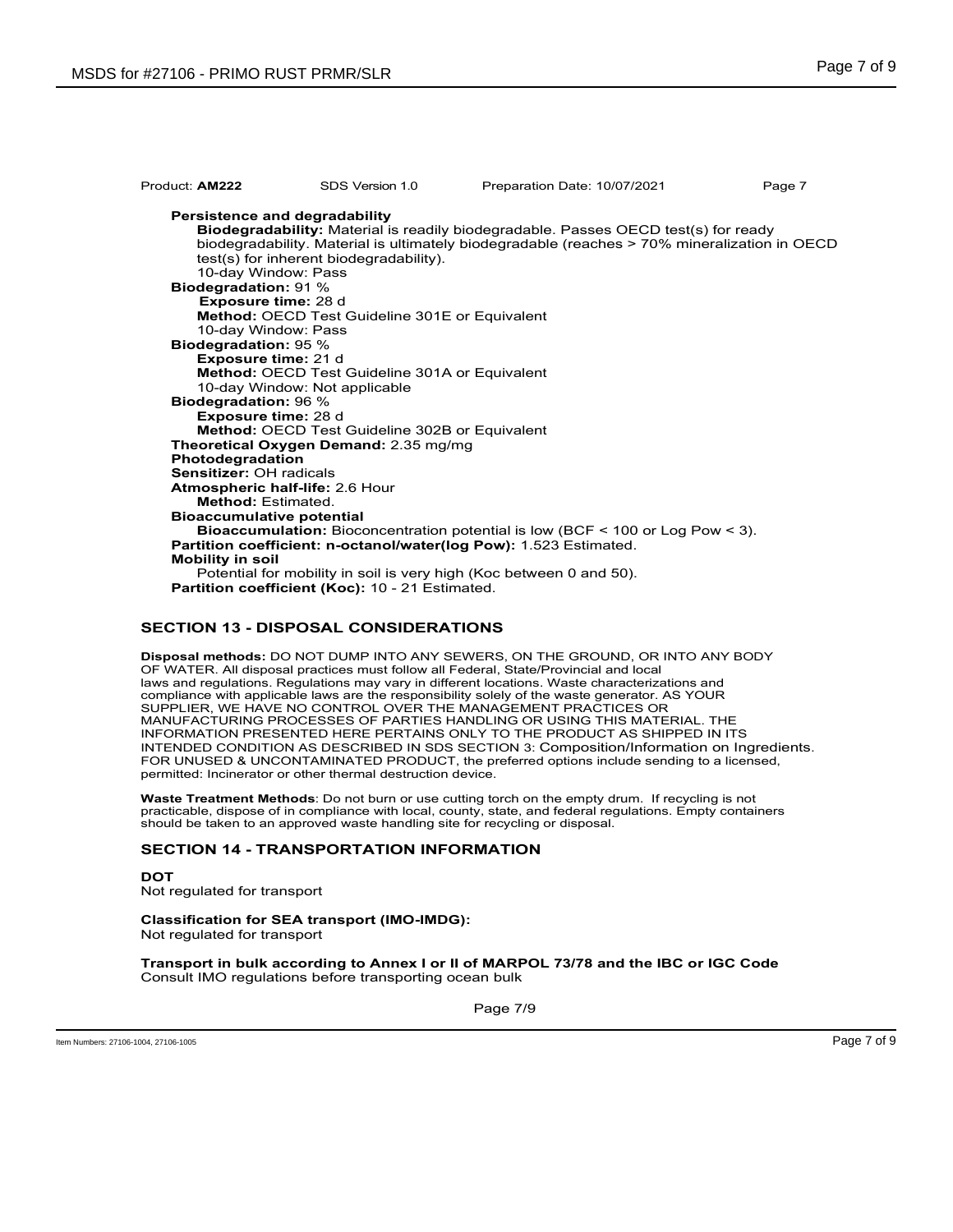| Product: AM222                              | SDS Version 1.0                                                          | Preparation Date: 10/07/2021                                                                                                                                                              | Page 7 |
|---------------------------------------------|--------------------------------------------------------------------------|-------------------------------------------------------------------------------------------------------------------------------------------------------------------------------------------|--------|
| 10-day Window: Pass                         | Persistence and degradability<br>test(s) for inherent biodegradability). | <b>Biodegradability:</b> Material is readily biodegradable. Passes OECD test(s) for ready<br>biodegradability. Material is ultimately biodegradable (reaches > 70% mineralization in OECD |        |
| <b>Biodegradation: 91%</b>                  |                                                                          |                                                                                                                                                                                           |        |
| Exposure time: 28 d                         |                                                                          |                                                                                                                                                                                           |        |
|                                             | Method: OECD Test Guideline 301E or Equivalent                           |                                                                                                                                                                                           |        |
| 10-day Window: Pass                         |                                                                          |                                                                                                                                                                                           |        |
| <b>Biodegradation: 95 %</b>                 |                                                                          |                                                                                                                                                                                           |        |
| Exposure time: 21 d                         |                                                                          |                                                                                                                                                                                           |        |
|                                             | <b>Method: OECD Test Guideline 301A or Equivalent</b>                    |                                                                                                                                                                                           |        |
|                                             | 10-day Window: Not applicable                                            |                                                                                                                                                                                           |        |
| <b>Biodegradation: 96 %</b>                 |                                                                          |                                                                                                                                                                                           |        |
| <b>Exposure time: 28 d</b>                  |                                                                          |                                                                                                                                                                                           |        |
|                                             | Method: OECD Test Guideline 302B or Equivalent                           |                                                                                                                                                                                           |        |
|                                             | Theoretical Oxygen Demand: 2.35 mg/mg                                    |                                                                                                                                                                                           |        |
| Photodegradation<br>Sensitizer: OH radicals |                                                                          |                                                                                                                                                                                           |        |
|                                             |                                                                          |                                                                                                                                                                                           |        |
| <b>Method: Estimated.</b>                   | Atmospheric half-life: 2.6 Hour                                          |                                                                                                                                                                                           |        |
|                                             |                                                                          |                                                                                                                                                                                           |        |
| <b>Bioaccumulative potential</b>            |                                                                          | <b>Bioaccumulation:</b> Bioconcentration potential is low (BCF $\leq$ 100 or Log Pow $\leq$ 3).                                                                                           |        |
|                                             |                                                                          | Partition coefficient: n-octanol/water(log Pow): 1.523 Estimated.                                                                                                                         |        |
| <b>Mobility in soil</b>                     |                                                                          |                                                                                                                                                                                           |        |
|                                             |                                                                          | Potential for mobility in soil is very high (Koc between 0 and 50).                                                                                                                       |        |
|                                             | Partition coefficient (Koc): 10 - 21 Estimated.                          |                                                                                                                                                                                           |        |
|                                             |                                                                          |                                                                                                                                                                                           |        |

## **SECTION 13 - DISPOSAL CONSIDERATIONS**

**Disposal methods:** DO NOT DUMP INTO ANY SEWERS, ON THE GROUND, OR INTO ANY BODY OF WATER. All disposal practices must follow all Federal, State/Provincial and local laws and regulations. Regulations may vary in different locations. Waste characterizations and compliance with applicable laws are the responsibility solely of the waste generator. AS YOUR SUPPLIER, WE HAVE NO CONTROL OVER THE MANAGEMENT PRACTICES OR MANUFACTURING PROCESSES OF PARTIES HANDLING OR USING THIS MATERIAL. THE INFORMATION PRESENTED HERE PERTAINS ONLY TO THE PRODUCT AS SHIPPED IN ITS INTENDED CONDITION AS DESCRIBED IN SDS SECTION 3: Composition/Information on Ingredients. FOR UNUSED & UNCONTAMINATED PRODUCT, the preferred options include sending to a licensed, permitted: Incinerator or other thermal destruction device.

**Waste Treatment Methods**: Do not burn or use cutting torch on the empty drum. If recycling is not practicable, dispose of in compliance with local, county, state, and federal regulations. Empty containers should be taken to an approved waste handling site for recycling or disposal.

## **SECTION 14 - TRANSPORTATION INFORMATION**

**DOT** Not regulated for transport

**Classification for SEA transport (IMO-IMDG):** Not regulated for transport

**Transport in bulk according to Annex I or II of MARPOL 73/78 and the IBC or IGC Code** Consult IMO regulations before transporting ocean bulk

Page 7/9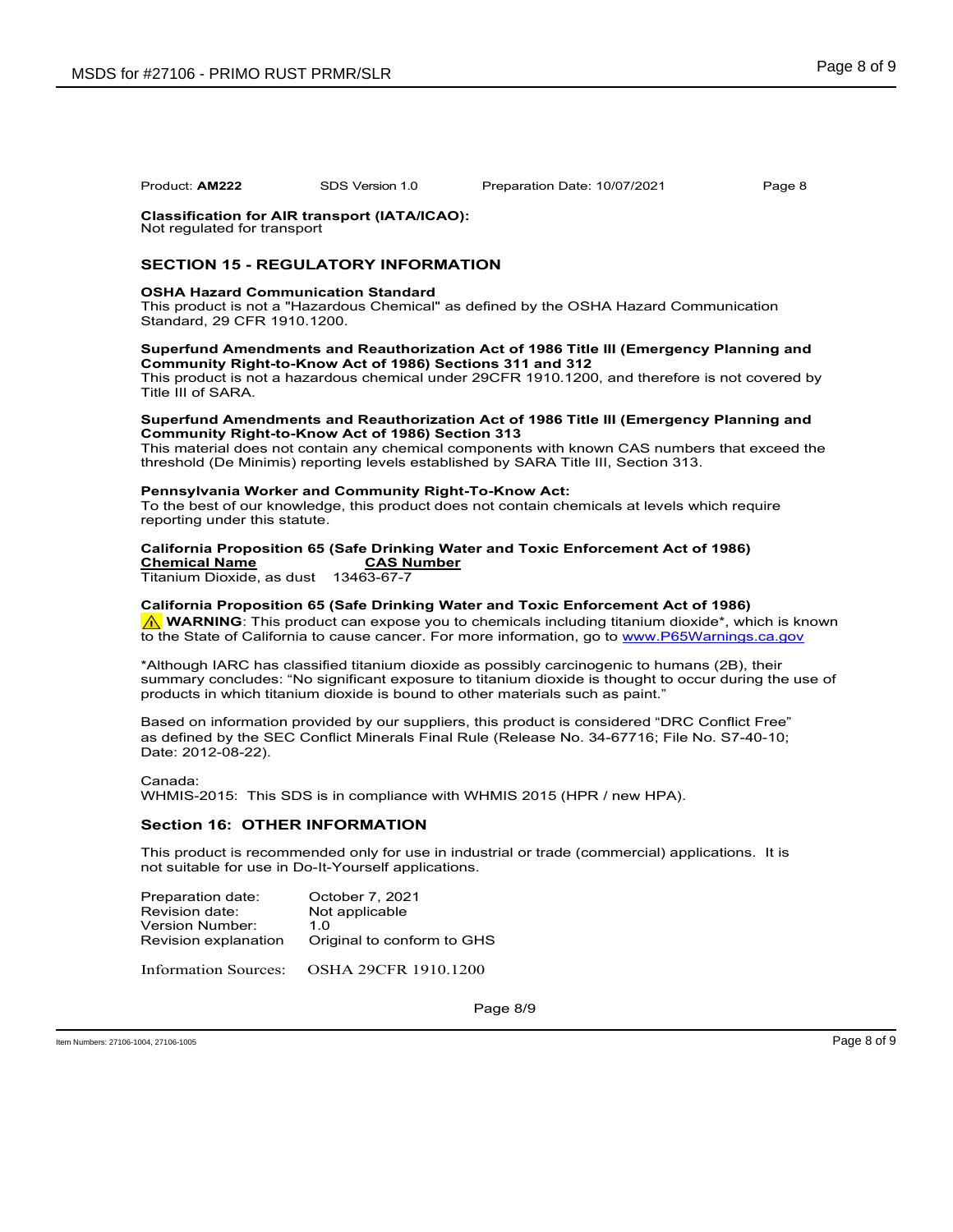#### **Classification for AIR transport (IATA/ICAO):** Not regulated for transport

## **SECTION 15 - REGULATORY INFORMATION**

## **OSHA Hazard Communication Standard**

This product is not a "Hazardous Chemical" as defined by the OSHA Hazard Communication Standard, 29 CFR 1910.1200.

## **Superfund Amendments and Reauthorization Act of 1986 Title III (Emergency Planning and Community Right-to-Know Act of 1986) Sections 311 and 312**

This product is not a hazardous chemical under 29CFR 1910.1200, and therefore is not covered by Title III of SARA.

#### **Superfund Amendments and Reauthorization Act of 1986 Title III (Emergency Planning and Community Right-to-Know Act of 1986) Section 313**

This material does not contain any chemical components with known CAS numbers that exceed the threshold (De Minimis) reporting levels established by SARA Title III, Section 313.

## **Pennsylvania Worker and Community Right-To-Know Act:**

To the best of our knowledge, this product does not contain chemicals at levels which require reporting under this statute.

## **California Proposition 65 (Safe Drinking Water and Toxic Enforcement Act of 1986) Chemical Name CAS Number**

Titanium Dioxide, as dust 13463-67-7

**California Proposition 65 (Safe Drinking Water and Toxic Enforcement Act of 1986) A** WARNING: This product can expose you to chemicals including titanium dioxide\*, which is known

to the State of California to cause cancer. For more information, go to www.P65Warnings.ca.gov

\*Although IARC has classified titanium dioxide as possibly carcinogenic to humans (2B), their summary concludes: "No significant exposure to titanium dioxide is thought to occur during the use of products in which titanium dioxide is bound to other materials such as paint."

Based on information provided by our suppliers, this product is considered "DRC Conflict Free" as defined by the SEC Conflict Minerals Final Rule (Release No. 34-67716; File No. S7-40-10; Date: 2012-08-22).

Canada:

WHMIS-2015: This SDS is in compliance with WHMIS 2015 (HPR / new HPA).

## **Section 16: OTHER INFORMATION**

This product is recommended only for use in industrial or trade (commercial) applications. It is not suitable for use in Do-It-Yourself applications.

| Original to conform to GHS |
|----------------------------|
|                            |

Information Sources: OSHA 29CFR 1910.1200

Page 8/9